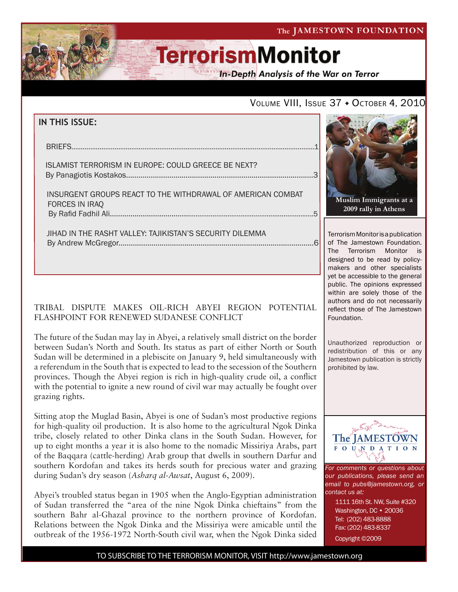The JAMESTOWN FOUNDATION

# **TerrorismMonitor**

**In-Depth Analysis of the War on Terror** 

### VOLUME VIII, ISSUE 37 · OCTOBER 4, 2010

|  | IN THIS ISSUE: |  |  |
|--|----------------|--|--|
|--|----------------|--|--|

| ISLAMIST TERRORISM IN EUROPE: COULD GREECE BE NEXT?                                  |  |
|--------------------------------------------------------------------------------------|--|
| INSURGENT GROUPS REACT TO THE WITHDRAWAL OF AMERICAN COMBAT<br><b>FORCES IN IRAQ</b> |  |
| JIHAD IN THE RASHT VALLEY: TAJIKISTAN'S SECURITY DILEMMA                             |  |

By Andrew McGregor...............................................................................................6

### TRIBAL DISPUTE MAKES OIL-RICH ABYEI REGION POTENTIAL FLASHPOINT FOR RENEWED SUDANESE CONFLICT

The future of the Sudan may lay in Abyei, a relatively small district on the border between Sudan's North and South. Its status as part of either North or South Sudan will be determined in a plebiscite on January 9, held simultaneously with a referendum in the South that is expected to lead to the secession of the Southern provinces. Though the Abyei region is rich in high-quality crude oil, a conflict with the potential to ignite a new round of civil war may actually be fought over grazing rights.

Sitting atop the Muglad Basin, Abyei is one of Sudan's most productive regions for high-quality oil production. It is also home to the agricultural Ngok Dinka tribe, closely related to other Dinka clans in the South Sudan. However, for up to eight months a year it is also home to the nomadic Missiriya Arabs, part of the Baqqara (cattle-herding) Arab group that dwells in southern Darfur and southern Kordofan and takes its herds south for precious water and grazing during Sudan's dry season (*Asharq al-Awsat*, August 6, 2009).

Abyei's troubled status began in 1905 when the Anglo-Egyptian administration of Sudan transferred the "area of the nine Ngok Dinka chieftains" from the southern Bahr al-Ghazal province to the northern province of Kordofan. Relations between the Ngok Dinka and the Missiriya were amicable until the outbreak of the 1956-1972 North-South civil war, when the Ngok Dinka sided



Terrorism Monitor is a publication of The Jamestown Foundation. The Terrorism Monitor is designed to be read by policymakers and other specialists yet be accessible to the general public. The opinions expressed within are solely those of the authors and do not necessarily reflect those of The Jamestown Foundation.

Unauthorized reproduction or redistribution of this or any Jamestown publication is strictly prohibited by law.



*For comments or questions about our publications, please send an email to pubs@jamestown.org, or contact us at:* 

> 1111 16th St. NW, Suite #320 Washington, DC • 20036 Tel: (202) 483-8888 Fax: (202) 483-8337 Copyright ©2009

TO SUBSCRIBE TO THE TERRORISM MONITOR, VISIT http://www.jamestown.org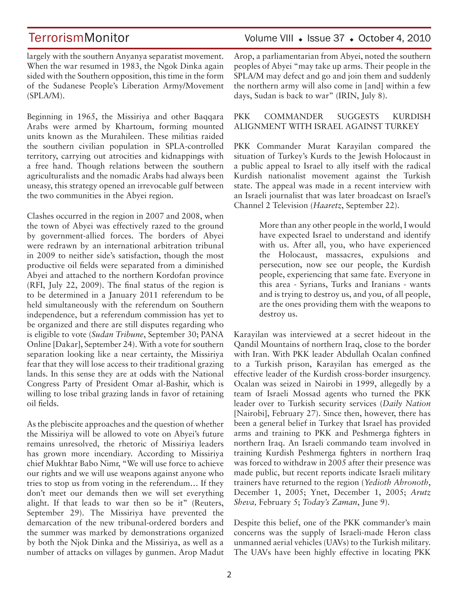largely with the southern Anyanya separatist movement. When the war resumed in 1983, the Ngok Dinka again sided with the Southern opposition, this time in the form of the Sudanese People's Liberation Army/Movement (SPLA/M).

Beginning in 1965, the Missiriya and other Baqqara Arabs were armed by Khartoum, forming mounted units known as the Murahileen. These militias raided the southern civilian population in SPLA-controlled territory, carrying out atrocities and kidnappings with a free hand. Though relations between the southern agriculturalists and the nomadic Arabs had always been uneasy, this strategy opened an irrevocable gulf between the two communities in the Abyei region.

Clashes occurred in the region in 2007 and 2008, when the town of Abyei was effectively razed to the ground by government-allied forces. The borders of Abyei were redrawn by an international arbitration tribunal in 2009 to neither side's satisfaction, though the most productive oil fields were separated from a diminished Abyei and attached to the northern Kordofan province (RFI, July 22, 2009). The final status of the region is to be determined in a January 2011 referendum to be held simultaneously with the referendum on Southern independence, but a referendum commission has yet to be organized and there are still disputes regarding who is eligible to vote (*Sudan Tribune*, September 30; PANA Online [Dakar], September 24). With a vote for southern separation looking like a near certainty, the Missiriya fear that they will lose access to their traditional grazing lands. In this sense they are at odds with the National Congress Party of President Omar al-Bashir, which is willing to lose tribal grazing lands in favor of retaining oil fields.

As the plebiscite approaches and the question of whether the Missiriya will be allowed to vote on Abyei's future remains unresolved, the rhetoric of Missiriya leaders has grown more incendiary. According to Missiriya chief Mukhtar Babo Nimr, "We will use force to achieve our rights and we will use weapons against anyone who tries to stop us from voting in the referendum… If they don't meet our demands then we will set everything alight. If that leads to war then so be it" (Reuters, September 29). The Missiriya have prevented the demarcation of the new tribunal-ordered borders and the summer was marked by demonstrations organized by both the Njok Dinka and the Missiriya, as well as a number of attacks on villages by gunmen. Arop Madut

TerrorismMonitor Volume VIII • Issue 37 • October 4, 2010

Arop, a parliamentarian from Abyei, noted the southern peoples of Abyei "may take up arms. Their people in the SPLA/M may defect and go and join them and suddenly the northern army will also come in [and] within a few days, Sudan is back to war" (IRIN, July 8).

#### PKK COMMANDER SUGGESTS KURDISH ALIGNMENT WITH ISRAEL AGAINST TURKEY

PKK Commander Murat Karayilan compared the situation of Turkey's Kurds to the Jewish Holocaust in a public appeal to Israel to ally itself with the radical Kurdish nationalist movement against the Turkish state. The appeal was made in a recent interview with an Israeli journalist that was later broadcast on Israel's Channel 2 Television (*Haaretz*, September 22).

> More than any other people in the world, I would have expected Israel to understand and identify with us. After all, you, who have experienced the Holocaust, massacres, expulsions and persecution, now see our people, the Kurdish people, experiencing that same fate. Everyone in this area - Syrians, Turks and Iranians - wants and is trying to destroy us, and you, of all people, are the ones providing them with the weapons to destroy us.

Karayilan was interviewed at a secret hideout in the Qandil Mountains of northern Iraq, close to the border with Iran. With PKK leader Abdullah Ocalan confined to a Turkish prison, Karayilan has emerged as the effective leader of the Kurdish cross-border insurgency. Ocalan was seized in Nairobi in 1999, allegedly by a team of Israeli Mossad agents who turned the PKK leader over to Turkish security services (*Daily Nation*  [Nairobi], February 27). Since then, however, there has been a general belief in Turkey that Israel has provided arms and training to PKK and Peshmerga fighters in northern Iraq. An Israeli commando team involved in training Kurdish Peshmerga fighters in northern Iraq was forced to withdraw in 2005 after their presence was made public, but recent reports indicate Israeli military trainers have returned to the region (*Yedioth Ahronoth*, December 1, 2005; Ynet, December 1, 2005; *Arutz Sheva,* February 5; *Today's Zaman*, June 9).

Despite this belief, one of the PKK commander's main concerns was the supply of Israeli-made Heron class unmanned aerial vehicles (UAVs) to the Turkish military. The UAVs have been highly effective in locating PKK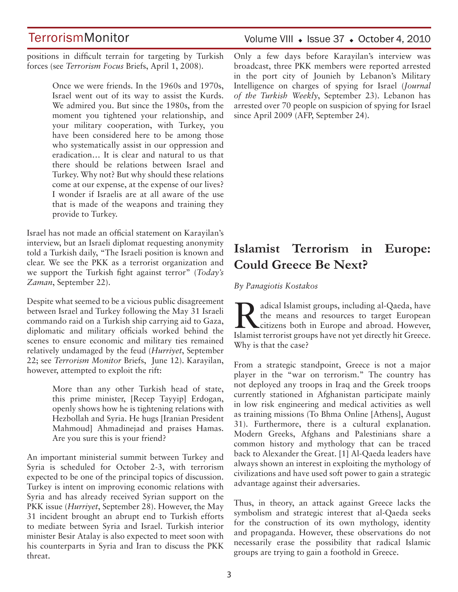positions in difficult terrain for targeting by Turkish forces (see *Terrorism Focus* Briefs, April 1, 2008).

> Once we were friends. In the 1960s and 1970s, Israel went out of its way to assist the Kurds. We admired you. But since the 1980s, from the moment you tightened your relationship, and your military cooperation, with Turkey, you have been considered here to be among those who systematically assist in our oppression and eradication… It is clear and natural to us that there should be relations between Israel and Turkey. Why not? But why should these relations come at our expense, at the expense of our lives? I wonder if Israelis are at all aware of the use that is made of the weapons and training they provide to Turkey.

Israel has not made an official statement on Karayilan's interview, but an Israeli diplomat requesting anonymity told a Turkish daily, "The Israeli position is known and clear. We see the PKK as a terrorist organization and we support the Turkish fight against terror" (*Today's Zaman*, September 22).

Despite what seemed to be a vicious public disagreement between Israel and Turkey following the May 31 Israeli commando raid on a Turkish ship carrying aid to Gaza, diplomatic and military officials worked behind the scenes to ensure economic and military ties remained relatively undamaged by the feud (*Hurriyet*, September 22; see *Terrorism Monitor* Briefs, June 12). Karayilan, however, attempted to exploit the rift:

> More than any other Turkish head of state, this prime minister, [Recep Tayyip] Erdogan, openly shows how he is tightening relations with Hezbollah and Syria. He hugs [Iranian President Mahmoud] Ahmadinejad and praises Hamas. Are you sure this is your friend?

An important ministerial summit between Turkey and Syria is scheduled for October 2-3, with terrorism expected to be one of the principal topics of discussion. Turkey is intent on improving economic relations with Syria and has already received Syrian support on the PKK issue (*Hurriyet*, September 28). However, the May 31 incident brought an abrupt end to Turkish efforts to mediate between Syria and Israel. Turkish interior minister Besir Atalay is also expected to meet soon with his counterparts in Syria and Iran to discuss the PKK threat.

### Volume VIII · Issue 37 · October 4, 2010

Only a few days before Karayilan's interview was broadcast, three PKK members were reported arrested in the port city of Jounieh by Lebanon's Military Intelligence on charges of spying for Israel (*Journal of the Turkish Weekly*, September 23). Lebanon has arrested over 70 people on suspicion of spying for Israel since April 2009 (AFP, September 24).

# **Islamist Terrorism in Europe: Could Greece Be Next?**

*By Panagiotis Kostakos*

Radical Islamist groups, including al-Qaeda, have<br>the means and resources to target European<br>citizens both in Europe and abroad. However,<br>lelomist terrorist groups have not yet directly bit Groces the means and resources to target European Islamist terrorist groups have not yet directly hit Greece. Why is that the case?

From a strategic standpoint, Greece is not a major player in the "war on terrorism." The country has not deployed any troops in Iraq and the Greek troops currently stationed in Afghanistan participate mainly in low risk engineering and medical activities as well as training missions (To Bhma Online [Athens], August 31). Furthermore, there is a cultural explanation. Modern Greeks, Afghans and Palestinians share a common history and mythology that can be traced back to Alexander the Great. [1] Al-Qaeda leaders have always shown an interest in exploiting the mythology of civilizations and have used soft power to gain a strategic advantage against their adversaries.

Thus, in theory, an attack against Greece lacks the symbolism and strategic interest that al-Qaeda seeks for the construction of its own mythology, identity and propaganda. However, these observations do not necessarily erase the possibility that radical Islamic groups are trying to gain a foothold in Greece.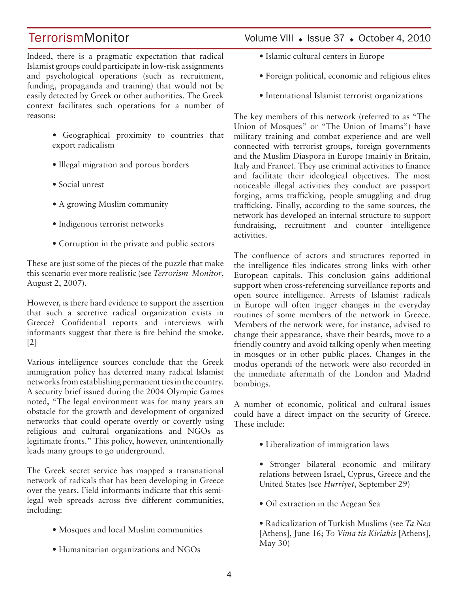Indeed, there is a pragmatic expectation that radical Islamist groups could participate in low-risk assignments and psychological operations (such as recruitment, funding, propaganda and training) that would not be easily detected by Greek or other authorities. The Greek context facilitates such operations for a number of reasons:

- Geographical proximity to countries that export radicalism
- Illegal migration and porous borders
- Social unrest
- A growing Muslim community
- Indigenous terrorist networks
- Corruption in the private and public sectors

These are just some of the pieces of the puzzle that make this scenario ever more realistic (see *Terrorism Monitor*, August 2, 2007).

However, is there hard evidence to support the assertion that such a secretive radical organization exists in Greece? Confidential reports and interviews with informants suggest that there is fire behind the smoke. [2]

Various intelligence sources conclude that the Greek immigration policy has deterred many radical Islamist networks from establishing permanent ties in the country. A security brief issued during the 2004 Olympic Games noted, "The legal environment was for many years an obstacle for the growth and development of organized networks that could operate overtly or covertly using religious and cultural organizations and NGOs as legitimate fronts." This policy, however, unintentionally leads many groups to go underground.

The Greek secret service has mapped a transnational network of radicals that has been developing in Greece over the years. Field informants indicate that this semilegal web spreads across five different communities, including:

- Mosques and local Muslim communities
- Humanitarian organizations and NGOs

# TerrorismMonitor Volume VIII + Issue 37 + October 4, 2010

- Islamic cultural centers in Europe
- Foreign political, economic and religious elites
- International Islamist terrorist organizations

The key members of this network (referred to as "The Union of Mosques" or "The Union of Imams") have military training and combat experience and are well connected with terrorist groups, foreign governments and the Muslim Diaspora in Europe (mainly in Britain, Italy and France). They use criminal activities to finance and facilitate their ideological objectives. The most noticeable illegal activities they conduct are passport forging, arms trafficking, people smuggling and drug trafficking. Finally, according to the same sources, the network has developed an internal structure to support fundraising, recruitment and counter intelligence activities.

The confluence of actors and structures reported in the intelligence files indicates strong links with other European capitals. This conclusion gains additional support when cross-referencing surveillance reports and open source intelligence. Arrests of Islamist radicals in Europe will often trigger changes in the everyday routines of some members of the network in Greece. Members of the network were, for instance, advised to change their appearance, shave their beards, move to a friendly country and avoid talking openly when meeting in mosques or in other public places. Changes in the modus operandi of the network were also recorded in the immediate aftermath of the London and Madrid bombings.

A number of economic, political and cultural issues could have a direct impact on the security of Greece. These include:

- Liberalization of immigration laws
- Stronger bilateral economic and military relations between Israel, Cyprus, Greece and the United States (see *Hurriyet*, September 29)
- Oil extraction in the Aegean Sea
- Radicalization of Turkish Muslims (see *Ta Nea*  [Athens], June 16; *To Vima tis Kiriakis* [Athens], May 30)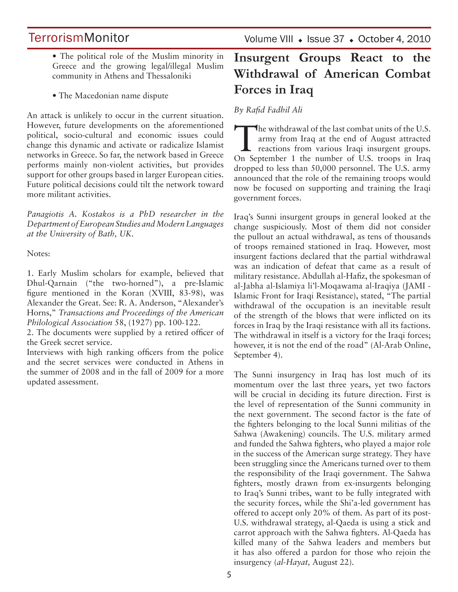- The political role of the Muslim minority in Greece and the growing legal/illegal Muslim community in Athens and Thessaloniki
- The Macedonian name dispute

An attack is unlikely to occur in the current situation. However, future developments on the aforementioned political, socio-cultural and economic issues could change this dynamic and activate or radicalize Islamist networks in Greece. So far, the network based in Greece performs mainly non-violent activities, but provides support for other groups based in larger European cities. Future political decisions could tilt the network toward more militant activities.

*Panagiotis A. Kostakos is a PhD researcher in the Department of European Studies and Modern Languages at the University of Bath, UK.* 

Notes:

1. Early Muslim scholars for example, believed that Dhul-Qarnain ("the two-horned"), a pre-Islamic figure mentioned in the Koran (XVIII, 83-98), was Alexander the Great. See: R. A. Anderson, "Alexander's Horns," *Transactions and Proceedings of the American Philological Association* 58, (1927) pp. 100-122.

2. The documents were supplied by a retired officer of the Greek secret service.

Interviews with high ranking officers from the police and the secret services were conducted in Athens in the summer of 2008 and in the fall of 2009 for a more updated assessment.

# **Insurgent Groups React to the Withdrawal of American Combat Forces in Iraq**

*By Rafid Fadhil Ali*

The withdrawal of the last combat units of the U.S.<br>
army from Iraq at the end of August attracted<br>
reactions from various Iraqi insurgent groups.<br>
On Sontamber, 1, the number of U.S. trease in Iraq. army from Iraq at the end of August attracted On September 1 the number of U.S. troops in Iraq dropped to less than 50,000 personnel. The U.S. army announced that the role of the remaining troops would now be focused on supporting and training the Iraqi government forces.

Iraq's Sunni insurgent groups in general looked at the change suspiciously. Most of them did not consider the pullout an actual withdrawal, as tens of thousands of troops remained stationed in Iraq. However, most insurgent factions declared that the partial withdrawal was an indication of defeat that came as a result of military resistance. Abdullah al-Hafiz, the spokesman of al-Jabha al-Islamiya li'l-Moqawama al-Iraqiya (JAMI - Islamic Front for Iraqi Resistance), stated, "The partial withdrawal of the occupation is an inevitable result of the strength of the blows that were inflicted on its forces in Iraq by the Iraqi resistance with all its factions. The withdrawal in itself is a victory for the Iraqi forces; however, it is not the end of the road" (Al-Arab Online, September 4).

The Sunni insurgency in Iraq has lost much of its momentum over the last three years, yet two factors will be crucial in deciding its future direction. First is the level of representation of the Sunni community in the next government. The second factor is the fate of the fighters belonging to the local Sunni militias of the Sahwa (Awakening) councils. The U.S. military armed and funded the Sahwa fighters, who played a major role in the success of the American surge strategy. They have been struggling since the Americans turned over to them the responsibility of the Iraqi government. The Sahwa fighters, mostly drawn from ex-insurgents belonging to Iraq's Sunni tribes, want to be fully integrated with the security forces, while the Shi'a-led government has offered to accept only 20% of them. As part of its post-U.S. withdrawal strategy, al-Qaeda is using a stick and carrot approach with the Sahwa fighters. Al-Qaeda has killed many of the Sahwa leaders and members but it has also offered a pardon for those who rejoin the insurgency (*al-Hayat,* August 22).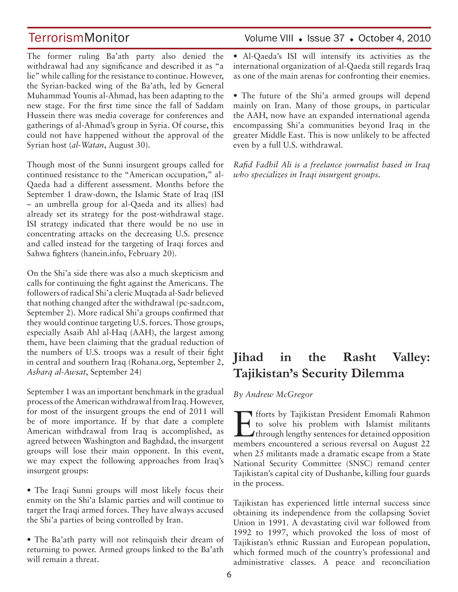The former ruling Ba'ath party also denied the withdrawal had any significance and described it as "a lie" while calling for the resistance to continue. However, the Syrian-backed wing of the Ba'ath, led by General Muhammad Younis al-Ahmad, has been adapting to the new stage. For the first time since the fall of Saddam Hussein there was media coverage for conferences and gatherings of al-Ahmad's group in Syria. Of course, this could not have happened without the approval of the Syrian host (*al-Watan*, August 30).

Though most of the Sunni insurgent groups called for continued resistance to the "American occupation," al-Qaeda had a different assessment. Months before the September 1 draw-down, the Islamic State of Iraq (ISI – an umbrella group for al-Qaeda and its allies) had already set its strategy for the post-withdrawal stage. ISI strategy indicated that there would be no use in concentrating attacks on the decreasing U.S. presence and called instead for the targeting of Iraqi forces and Sahwa fighters (hanein.info, February 20).

On the Shi'a side there was also a much skepticism and calls for continuing the fight against the Americans. The followers of radical Shi'a cleric Muqtada al-Sadr believed that nothing changed after the withdrawal (pc-sadr.com, September 2). More radical Shi'a groups confirmed that they would continue targeting U.S. forces. Those groups, especially Asaib Ahl al-Haq (AAH), the largest among them, have been claiming that the gradual reduction of the numbers of U.S. troops was a result of their fight in central and southern Iraq (Rohana.org, September 2, *Asharq al-Awsat*, September 24)

September 1 was an important benchmark in the gradual process of the American withdrawal from Iraq. However, for most of the insurgent groups the end of 2011 will be of more importance. If by that date a complete American withdrawal from Iraq is accomplished, as agreed between Washington and Baghdad, the insurgent groups will lose their main opponent. In this event, we may expect the following approaches from Iraq's insurgent groups:

• The Iraqi Sunni groups will most likely focus their enmity on the Shi'a Islamic parties and will continue to target the Iraqi armed forces. They have always accused the Shi'a parties of being controlled by Iran.

• The Ba'ath party will not relinquish their dream of returning to power. Armed groups linked to the Ba'ath will remain a threat.

## TerrorismMonitor Volume VIII • Issue 37 • October 4, 2010

• Al-Qaeda's ISI will intensify its activities as the international organization of al-Qaeda still regards Iraq as one of the main arenas for confronting their enemies.

• The future of the Shi'a armed groups will depend mainly on Iran. Many of those groups, in particular the AAH, now have an expanded international agenda encompassing Shi'a communities beyond Iraq in the greater Middle East. This is now unlikely to be affected even by a full U.S. withdrawal.

*Rafid Fadhil Ali is a freelance journalist based in Iraq who specializes in Iraqi insurgent groups.*

# **Jihad in the Rasht Valley: Tajikistan's Security Dilemma**

*By Andrew McGregor*

Efforts by Tajikistan President Emomali Rahmon to solve his problem with Islamist militants *I*through lengthy sentences for detained opposition members encountered a serious reversal on August 22 when 25 militants made a dramatic escape from a State National Security Committee (SNSC) remand center Tajikistan's capital city of Dushanbe, killing four guards in the process.

Tajikistan has experienced little internal success since obtaining its independence from the collapsing Soviet Union in 1991. A devastating civil war followed from 1992 to 1997, which provoked the loss of most of Tajikistan's ethnic Russian and European population, which formed much of the country's professional and administrative classes. A peace and reconciliation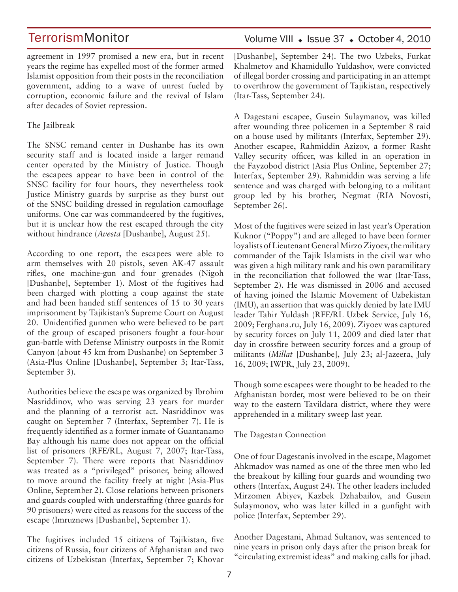agreement in 1997 promised a new era, but in recent years the regime has expelled most of the former armed Islamist opposition from their posts in the reconciliation government, adding to a wave of unrest fueled by corruption, economic failure and the revival of Islam after decades of Soviet repression.

### The Jailbreak

The SNSC remand center in Dushanbe has its own security staff and is located inside a larger remand center operated by the Ministry of Justice. Though the escapees appear to have been in control of the SNSC facility for four hours, they nevertheless took Justice Ministry guards by surprise as they burst out of the SNSC building dressed in regulation camouflage uniforms. One car was commandeered by the fugitives, but it is unclear how the rest escaped through the city without hindrance (*Avesta* [Dushanbe], August 25).

According to one report, the escapees were able to arm themselves with 20 pistols, seven AK-47 assault rifles, one machine-gun and four grenades (Nigoh [Dushanbe], September 1). Most of the fugitives had been charged with plotting a coup against the state and had been handed stiff sentences of 15 to 30 years imprisonment by Tajikistan's Supreme Court on August 20. Unidentified gunmen who were believed to be part of the group of escaped prisoners fought a four-hour gun-battle with Defense Ministry outposts in the Romit Canyon (about 45 km from Dushanbe) on September 3 (Asia-Plus Online [Dushanbe], September 3; Itar-Tass, September 3).

Authorities believe the escape was organized by Ibrohim Nasriddinov, who was serving 23 years for murder and the planning of a terrorist act. Nasriddinov was caught on September 7 (Interfax, September 7). He is frequently identified as a former inmate of Guantanamo Bay although his name does not appear on the official list of prisoners (RFE/RL, August 7, 2007; Itar-Tass, September 7). There were reports that Nasriddinov was treated as a "privileged" prisoner, being allowed to move around the facility freely at night (Asia-Plus Online, September 2). Close relations between prisoners and guards coupled with understaffing (three guards for 90 prisoners) were cited as reasons for the success of the escape (Imruznews [Dushanbe], September 1).

The fugitives included 15 citizens of Tajikistan, five citizens of Russia, four citizens of Afghanistan and two citizens of Uzbekistan (Interfax, September 7; Khovar Volume VIII · Issue 37 · October 4, 2010

[Dushanbe], September 24). The two Uzbeks, Furkat Khalmetov and Khamidullo Yuldashov, were convicted of illegal border crossing and participating in an attempt to overthrow the government of Tajikistan, respectively (Itar-Tass, September 24).

A Dagestani escapee, Gusein Sulaymanov, was killed after wounding three policemen in a September 8 raid on a house used by militants (Interfax, September 29). Another escapee, Rahmiddin Azizov, a former Rasht Valley security officer, was killed in an operation in the Fayzobod district (Asia Plus Online, September 27; Interfax, September 29). Rahmiddin was serving a life sentence and was charged with belonging to a militant group led by his brother, Negmat (RIA Novosti, September 26).

Most of the fugitives were seized in last year's Operation Kuknor ("Poppy") and are alleged to have been former loyalists of Lieutenant General Mirzo Ziyoev, the military commander of the Tajik Islamists in the civil war who was given a high military rank and his own paramilitary in the reconciliation that followed the war (Itar-Tass, September 2). He was dismissed in 2006 and accused of having joined the Islamic Movement of Uzbekistan (IMU), an assertion that was quickly denied by late IMU leader Tahir Yuldash (RFE/RL Uzbek Service, July 16, 2009; Ferghana.ru, July 16, 2009). Ziyoev was captured by security forces on July 11, 2009 and died later that day in crossfire between security forces and a group of militants (*Millat* [Dushanbe], July 23; al-Jazeera, July 16, 2009; IWPR, July 23, 2009).

Though some escapees were thought to be headed to the Afghanistan border, most were believed to be on their way to the eastern Tavildara district, where they were apprehended in a military sweep last year.

The Dagestan Connection

One of four Dagestanis involved in the escape, Magomet Ahkmadov was named as one of the three men who led the breakout by killing four guards and wounding two others (Interfax, August 24). The other leaders included Mirzomen Abiyev, Kazbek Dzhabailov, and Gusein Sulaymonov, who was later killed in a gunfight with police (Interfax, September 29).

Another Dagestani, Ahmad Sultanov, was sentenced to nine years in prison only days after the prison break for "circulating extremist ideas" and making calls for jihad.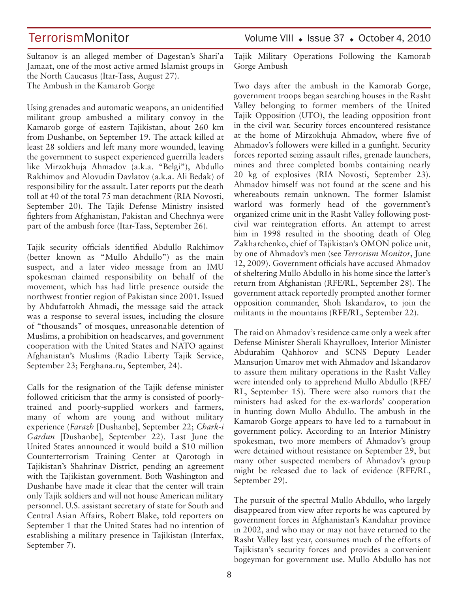TerrorismMonitor Volume VIII + Issue 37 + October 4, 2010

Sultanov is an alleged member of Dagestan's Shari'a Jamaat, one of the most active armed Islamist groups in the North Caucasus (Itar-Tass, August 27). The Ambush in the Kamarob Gorge

Using grenades and automatic weapons, an unidentified militant group ambushed a military convoy in the Kamarob gorge of eastern Tajikistan, about 260 km from Dushanbe, on September 19. The attack killed at least 28 soldiers and left many more wounded, leaving the government to suspect experienced guerrilla leaders like Mirzokhuja Ahmadov (a.k.a. "Belgi"), Abdullo Rakhimov and Alovudin Davlatov (a.k.a. Ali Bedak) of responsibility for the assault. Later reports put the death toll at 40 of the total 75 man detachment (RIA Novosti, September 20). The Tajik Defense Ministry insisted fighters from Afghanistan, Pakistan and Chechnya were part of the ambush force (Itar-Tass, September 26).

Tajik security officials identified Abdullo Rakhimov (better known as "Mullo Abdullo") as the main suspect, and a later video message from an IMU spokesman claimed responsibility on behalf of the movement, which has had little presence outside the northwest frontier region of Pakistan since 2001. Issued by Abdufattokh Ahmadi, the message said the attack was a response to several issues, including the closure of "thousands" of mosques, unreasonable detention of Muslims, a prohibition on headscarves, and government cooperation with the United States and NATO against Afghanistan's Muslims (Radio Liberty Tajik Service, September 23; Ferghana.ru, September, 24).

Calls for the resignation of the Tajik defense minister followed criticism that the army is consisted of poorlytrained and poorly-supplied workers and farmers, many of whom are young and without military experience (*Farazh* [Dushanbe], September 22; *Chark-i Gardun* [Dushanbe], September 22). Last June the United States announced it would build a \$10 million Counterterrorism Training Center at Qarotogh in Tajikistan's Shahrinav District, pending an agreement with the Tajikistan government. Both Washington and Dushanbe have made it clear that the center will train only Tajik soldiers and will not house American military personnel. U.S. assistant secretary of state for South and Central Asian Affairs, Robert Blake, told reporters on September 1 that the United States had no intention of establishing a military presence in Tajikistan (Interfax, September 7).

Tajik Military Operations Following the Kamorab Gorge Ambush

Two days after the ambush in the Kamorab Gorge, government troops began searching houses in the Rasht Valley belonging to former members of the United Tajik Opposition (UTO), the leading opposition front in the civil war. Security forces encountered resistance at the home of Mirzokhuja Ahmadov, where five of Ahmadov's followers were killed in a gunfight. Security forces reported seizing assault rifles, grenade launchers, mines and three completed bombs containing nearly 20 kg of explosives (RIA Novosti, September 23). Ahmadov himself was not found at the scene and his whereabouts remain unknown. The former Islamist warlord was formerly head of the government's organized crime unit in the Rasht Valley following postcivil war reintegration efforts. An attempt to arrest him in 1998 resulted in the shooting death of Oleg Zakharchenko, chief of Tajikistan's OMON police unit, by one of Ahmadov's men (see *Terrorism Monitor*, June 12, 2009). Government officials have accused Ahmadov of sheltering Mullo Abdullo in his home since the latter's return from Afghanistan (RFE/RL, September 28). The government attack reportedly prompted another former opposition commander, Shoh Iskandarov, to join the militants in the mountains (RFE/RL, September 22).

The raid on Ahmadov's residence came only a week after Defense Minister Sherali Khayrulloev, Interior Minister Abdurahim Qahhorov and SCNS Deputy Leader Mansurjon Umarov met with Ahmadov and Iskandarov to assure them military operations in the Rasht Valley were intended only to apprehend Mullo Abdullo (RFE/ RL, September 15). There were also rumors that the ministers had asked for the ex-warlords' cooperation in hunting down Mullo Abdullo. The ambush in the Kamarob Gorge appears to have led to a turnabout in government policy. According to an Interior Ministry spokesman, two more members of Ahmadov's group were detained without resistance on September 29, but many other suspected members of Ahmadov's group might be released due to lack of evidence (RFE/RL, September 29).

The pursuit of the spectral Mullo Abdullo, who largely disappeared from view after reports he was captured by government forces in Afghanistan's Kandahar province in 2002, and who may or may not have returned to the Rasht Valley last year, consumes much of the efforts of Tajikistan's security forces and provides a convenient bogeyman for government use. Mullo Abdullo has not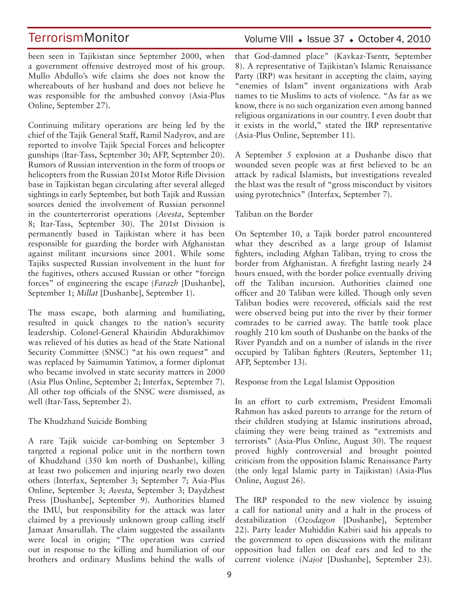been seen in Tajikistan since September 2000, when a government offensive destroyed most of his group. Mullo Abdullo's wife claims she does not know the whereabouts of her husband and does not believe he was responsible for the ambushed convoy (Asia-Plus Online, September 27).

Continuing military operations are being led by the chief of the Tajik General Staff, Ramil Nadyrov, and are reported to involve Tajik Special Forces and helicopter gunships (Itar-Tass, September 30; AFP, September 20). Rumors of Russian intervention in the form of troops or helicopters from the Russian 201st Motor Rifle Division base in Tajikistan began circulating after several alleged sightings in early September, but both Tajik and Russian sources denied the involvement of Russian personnel in the counterterrorist operations (*Avesta*, September 8; Itar-Tass, September 30). The 201st Division is permanently based in Tajikistan where it has been responsible for guarding the border with Afghanistan against militant incursions since 2001. While some Tajiks suspected Russian involvement in the hunt for the fugitives, others accused Russian or other "foreign forces" of engineering the escape (*Farazh* [Dushanbe], September 1; *Millat* [Dushanbe], September 1).

The mass escape, both alarming and humiliating, resulted in quick changes to the nation's security leadership. Colonel-General Khairidin Abdurakhimov was relieved of his duties as head of the State National Security Committee (SNSC) "at his own request" and was replaced by Saimumin Yatimov, a former diplomat who became involved in state security matters in 2000 (Asia Plus Online, September 2; Interfax, September 7). All other top officials of the SNSC were dismissed, as well (Itar-Tass, September 2).

#### The Khudzhand Suicide Bombing

A rare Tajik suicide car-bombing on September 3 targeted a regional police unit in the northern town of Khudzhand (350 km north of Dushanbe), killing at least two policemen and injuring nearly two dozen others (Interfax, September 3; September 7; Asia-Plus Online, September 3; *Avesta*, September 3; Daydzhest Press [Dushanbe], September 9). Authorities blamed the IMU, but responsibility for the attack was later claimed by a previously unknown group calling itself Jamaat Ansarullah. The claim suggested the assailants were local in origin; "The operation was carried out in response to the killing and humiliation of our brothers and ordinary Muslims behind the walls of

### Volume VIII · Issue 37 · October 4, 2010

that God-damned place" (Kavkaz-Tsentr, September 8). A representative of Tajikistan's Islamic Renaissance Party (IRP) was hesitant in accepting the claim, saying "enemies of Islam" invent organizations with Arab names to tie Muslims to acts of violence. "As far as we know, there is no such organization even among banned religious organizations in our country. I even doubt that it exists in the world," stated the IRP representative (Asia-Plus Online, September 11).

A September 5 explosion at a Dushanbe disco that wounded seven people was at first believed to be an attack by radical Islamists, but investigations revealed the blast was the result of "gross misconduct by visitors using pyrotechnics" (Interfax, September 7).

### Taliban on the Border

On September 10, a Tajik border patrol encountered what they described as a large group of Islamist fighters, including Afghan Taliban, trying to cross the border from Afghanistan. A firefight lasting nearly 24 hours ensued, with the border police eventually driving off the Taliban incursion. Authorities claimed one officer and 20 Taliban were killed. Though only seven Taliban bodies were recovered, officials said the rest were observed being put into the river by their former comrades to be carried away. The battle took place roughly 210 km south of Dushanbe on the banks of the River Pyandzh and on a number of islands in the river occupied by Taliban fighters (Reuters, September 11; AFP, September 13).

#### Response from the Legal Islamist Opposition

In an effort to curb extremism, President Emomali Rahmon has asked parents to arrange for the return of their children studying at Islamic institutions abroad, claiming they were being trained as "extremists and terrorists" (Asia-Plus Online, August 30). The request proved highly controversial and brought pointed criticism from the opposition Islamic Renaissance Party (the only legal Islamic party in Tajikistan) (Asia-Plus Online, August 26).

The IRP responded to the new violence by issuing a call for national unity and a halt in the process of destabilization (*Ozodagon* [Dushanbe], September 22). Party leader Muhiddin Kabiri said his appeals to the government to open discussions with the militant opposition had fallen on deaf ears and led to the current violence (*Najot* [Dushanbe], September 23).